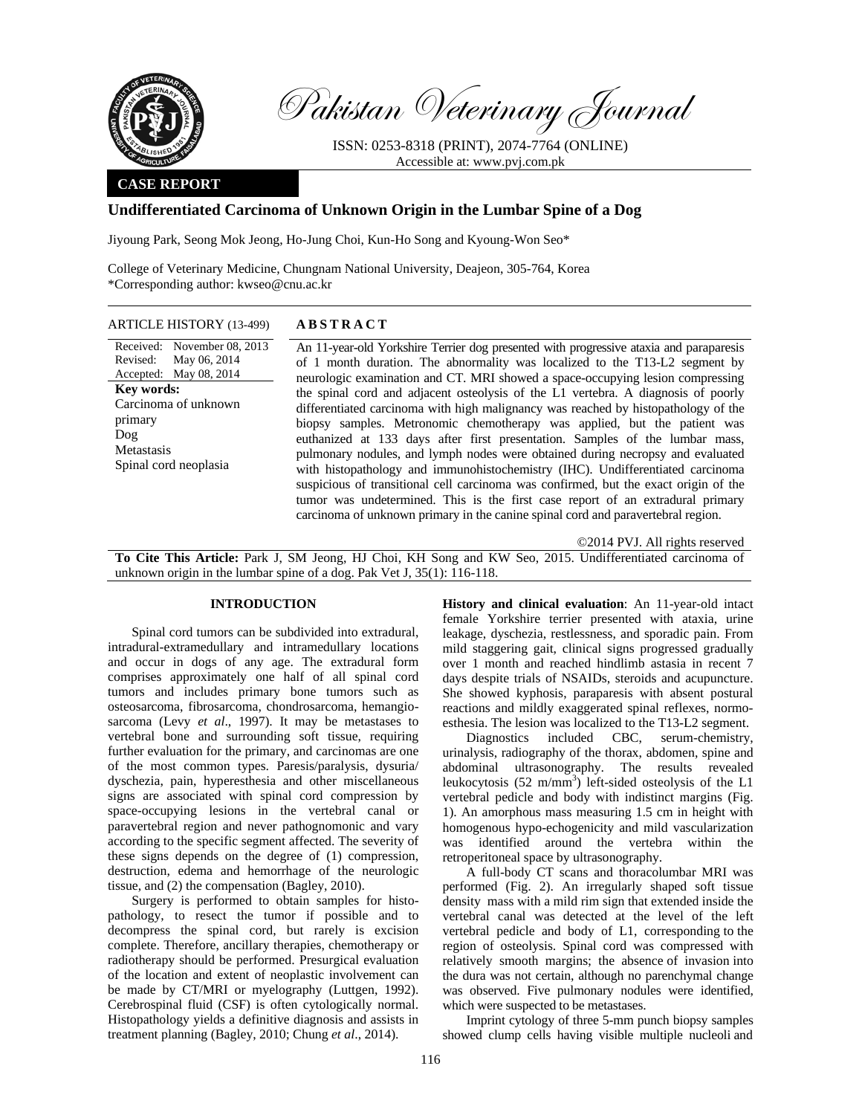

Pakistan Veterinary Journal

ISSN: 0253-8318 (PRINT), 2074-7764 (ONLINE) Accessible at: www.pvj.com.pk

#### **CASE REPORT**

## **Undifferentiated Carcinoma of Unknown Origin in the Lumbar Spine of a Dog**

Jiyoung Park, Seong Mok Jeong, Ho-Jung Choi, Kun-Ho Song and Kyoung-Won Seo\*

College of Veterinary Medicine, Chungnam National University, Deajeon, 305-764, Korea \*Corresponding author: kwseo@cnu.ac.kr

# ARTICLE HISTORY (13-499) **ABSTRACT**

Received: Revised: Accepted: May 08, 2014 November 08, 2013 May 06, 2014 **Key words:**  Carcinoma of unknown primary Dog **Metastasis** Spinal cord neoplasia

 An 11-year-old Yorkshire Terrier dog presented with progressive ataxia and paraparesis of 1 month duration. The abnormality was localized to the T13-L2 segment by neurologic examination and CT. MRI showed a space-occupying lesion compressing the spinal cord and adjacent osteolysis of the L1 vertebra. A diagnosis of poorly differentiated carcinoma with high malignancy was reached by histopathology of the biopsy samples. Metronomic chemotherapy was applied, but the patient was euthanized at 133 days after first presentation. Samples of the lumbar mass, pulmonary nodules, and lymph nodes were obtained during necropsy and evaluated with histopathology and immunohistochemistry (IHC). Undifferentiated carcinoma suspicious of transitional cell carcinoma was confirmed, but the exact origin of the tumor was undetermined. This is the first case report of an extradural primary carcinoma of unknown primary in the canine spinal cord and paravertebral region.

©2014 PVJ. All rights reserved

**To Cite This Article:** Park J, SM Jeong, HJ Choi, KH Song and KW Seo, 2015. Undifferentiated carcinoma of unknown origin in the lumbar spine of a dog. Pak Vet J, 35(1): 116-118.

### **INTRODUCTION**

Spinal cord tumors can be subdivided into extradural, intradural-extramedullary and intramedullary locations and occur in dogs of any age. The extradural form comprises approximately one half of all spinal cord tumors and includes primary bone tumors such as osteosarcoma, fibrosarcoma, chondrosarcoma, hemangiosarcoma (Levy *et al*., 1997). It may be metastases to vertebral bone and surrounding soft tissue, requiring further evaluation for the primary, and carcinomas are one of the most common types. Paresis/paralysis, dysuria/ dyschezia, pain, hyperesthesia and other miscellaneous signs are associated with spinal cord compression by space-occupying lesions in the vertebral canal or paravertebral region and never pathognomonic and vary according to the specific segment affected. The severity of these signs depends on the degree of (1) compression, destruction, edema and hemorrhage of the neurologic tissue, and (2) the compensation (Bagley, 2010).

Surgery is performed to obtain samples for histopathology, to resect the tumor if possible and to decompress the spinal cord, but rarely is excision complete. Therefore, ancillary therapies, chemotherapy or radiotherapy should be performed. Presurgical evaluation of the location and extent of neoplastic involvement can be made by CT/MRI or myelography (Luttgen, 1992). Cerebrospinal fluid (CSF) is often cytologically normal. Histopathology yields a definitive diagnosis and assists in treatment planning (Bagley, 2010; Chung *et al*., 2014).

**History and clinical evaluation**: An 11-year-old intact female Yorkshire terrier presented with ataxia, urine leakage, dyschezia, restlessness, and sporadic pain. From mild staggering gait, clinical signs progressed gradually over 1 month and reached hindlimb astasia in recent 7 days despite trials of NSAIDs, steroids and acupuncture. She showed kyphosis, paraparesis with absent postural reactions and mildly exaggerated spinal reflexes, normoesthesia. The lesion was localized to the T13-L2 segment.

Diagnostics included CBC, serum-chemistry, urinalysis, radiography of the thorax, abdomen, spine and abdominal ultrasonography. The results revealed leukocytosis  $(52 \text{ m/mm}^3)$  left-sided osteolysis of the L1 vertebral pedicle and body with indistinct margins (Fig. 1). An amorphous mass measuring 1.5 cm in height with homogenous hypo-echogenicity and mild vascularization was identified around the vertebra within the retroperitoneal space by ultrasonography.

A full-body CT scans and thoracolumbar MRI was performed (Fig. 2). An irregularly shaped soft tissue density mass with a mild rim sign that extended inside the vertebral canal was detected at the level of the left vertebral pedicle and body of L1, corresponding to the region of osteolysis. Spinal cord was compressed with relatively smooth margins; the absence of invasion into the dura was not certain, although no parenchymal change was observed. Five pulmonary nodules were identified, which were suspected to be metastases.

Imprint cytology of three 5-mm punch biopsy samples showed clump cells having visible multiple nucleoli and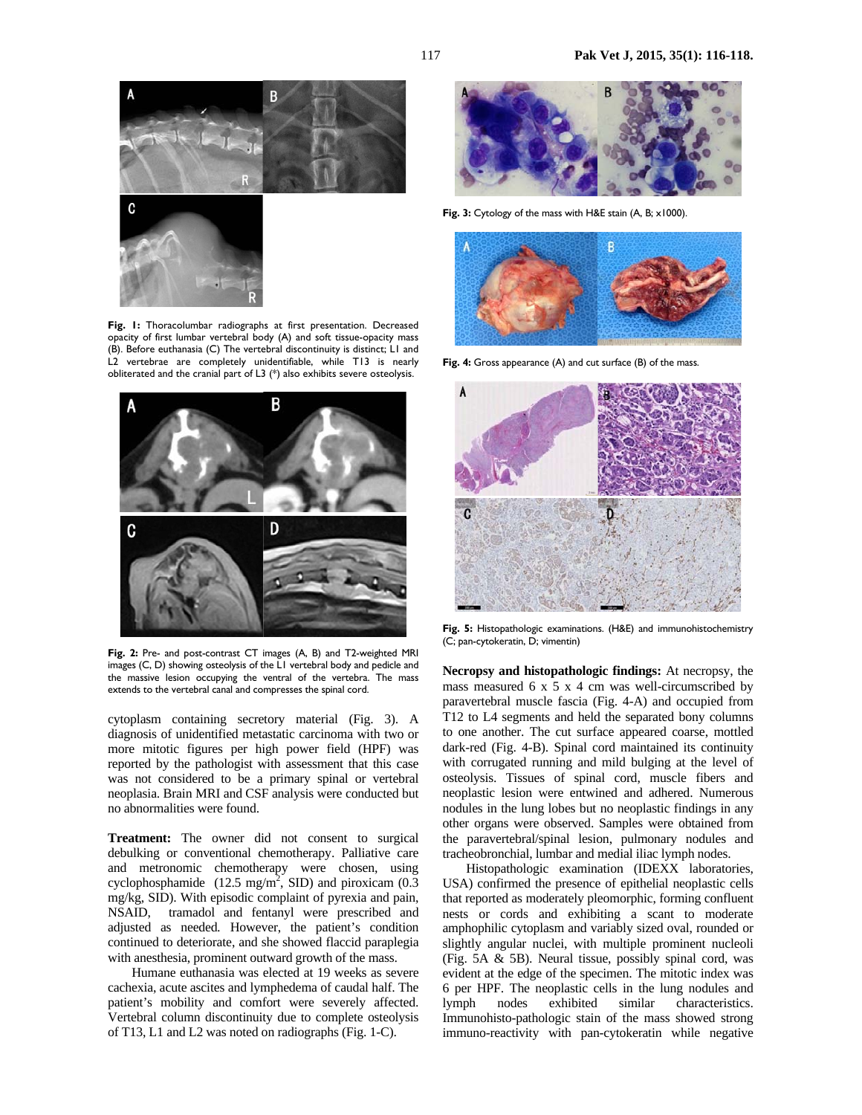

**Fig. 1:** Thoracolumbar radiographs at first presentation. Decreased opacity of first lumbar vertebral body (A) and soft tissue-opacity mass (B). Before euthanasia (C) The vertebral discontinuity is distinct; L1 and L2 vertebrae are completely unidentifiable, while T13 is nearly obliterated and the cranial part of L3 (\*) also exhibits severe osteolysis.



**Fig. 2:** Pre- and post-contrast CT images (A, B) and T2-weighted MRI images (C, D) showing osteolysis of the L1 vertebral body and pedicle and the massive lesion occupying the ventral of the vertebra. The mass extends to the vertebral canal and compresses the spinal cord.

cytoplasm containing secretory material (Fig. 3). A diagnosis of unidentified metastatic carcinoma with two or more mitotic figures per high power field (HPF) was reported by the pathologist with assessment that this case was not considered to be a primary spinal or vertebral neoplasia. Brain MRI and CSF analysis were conducted but no abnormalities were found.

**Treatment:** The owner did not consent to surgical debulking or conventional chemotherapy. Palliative care and metronomic chemotherapy were chosen, using cyclophosphamide (12.5 mg/m<sup>2</sup>, SID) and piroxicam (0.3) mg/kg, SID). With episodic complaint of pyrexia and pain, NSAID, tramadol and fentanyl were prescribed and adjusted as needed*.* However, the patient's condition continued to deteriorate, and she showed flaccid paraplegia with anesthesia, prominent outward growth of the mass.

Humane euthanasia was elected at 19 weeks as severe cachexia, acute ascites and lymphedema of caudal half. The patient's mobility and comfort were severely affected. Vertebral column discontinuity due to complete osteolysis of T13, L1 and L2 was noted on radiographs (Fig. 1-C).



**Fig. 3:** Cytology of the mass with H&E stain (A, B; x1000).



**Fig. 4:** Gross appearance (A) and cut surface (B) of the mass.



**Fig. 5:** Histopathologic examinations. (H&E) and immunohistochemistry (C; pan-cytokeratin, D; vimentin)

**Necropsy and histopathologic findings:** At necropsy, the mass measured 6 x 5 x 4 cm was well-circumscribed by paravertebral muscle fascia (Fig. 4-A) and occupied from T12 to L4 segments and held the separated bony columns to one another. The cut surface appeared coarse, mottled dark-red (Fig. 4-B). Spinal cord maintained its continuity with corrugated running and mild bulging at the level of osteolysis. Tissues of spinal cord, muscle fibers and neoplastic lesion were entwined and adhered. Numerous nodules in the lung lobes but no neoplastic findings in any other organs were observed. Samples were obtained from the paravertebral/spinal lesion, pulmonary nodules and tracheobronchial, lumbar and medial iliac lymph nodes.

Histopathologic examination (IDEXX laboratories, USA) confirmed the presence of epithelial neoplastic cells that reported as moderately pleomorphic, forming confluent nests or cords and exhibiting a scant to moderate amphophilic cytoplasm and variably sized oval, rounded or slightly angular nuclei, with multiple prominent nucleoli (Fig. 5A & 5B). Neural tissue, possibly spinal cord, was evident at the edge of the specimen. The mitotic index was 6 per HPF. The neoplastic cells in the lung nodules and lymph nodes exhibited similar characteristics. Immunohisto-pathologic stain of the mass showed strong immuno-reactivity with pan-cytokeratin while negative